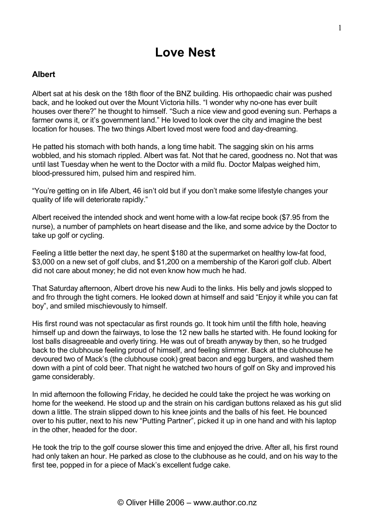# **Love Nest**

## **Albert**

Albert sat at his desk on the 18th floor of the BNZ building. His orthopaedic chair was pushed back, and he looked out over the Mount Victoria hills. "I wonder why no-one has ever built houses over there?" he thought to himself. "Such a nice view and good evening sun. Perhaps a farmer owns it, or it's government land." He loved to look over the city and imagine the best location for houses. The two things Albert loved most were food and day-dreaming.

He patted his stomach with both hands, a long time habit. The sagging skin on his arms wobbled, and his stomach rippled. Albert was fat. Not that he cared, goodness no. Not that was until last Tuesday when he went to the Doctor with a mild flu. Doctor Malpas weighed him, blood-pressured him, pulsed him and respired him.

"You're getting on in life Albert, 46 isn't old but if you don't make some lifestyle changes your quality of life will deteriorate rapidly."

Albert received the intended shock and went home with a low-fat recipe book (\$7.95 from the nurse), a number of pamphlets on heart disease and the like, and some advice by the Doctor to take up golf or cycling.

Feeling a little better the next day, he spent \$180 at the supermarket on healthy low-fat food, \$3,000 on a new set of golf clubs, and \$1,200 on a membership of the Karori golf club. Albert did not care about money; he did not even know how much he had.

That Saturday afternoon, Albert drove his new Audi to the links. His belly and jowls slopped to and fro through the tight corners. He looked down at himself and said "Enjoy it while you can fat boy", and smiled mischievously to himself.

His first round was not spectacular as first rounds go. It took him until the fifth hole, heaving himself up and down the fairways, to lose the 12 new balls he started with. He found looking for lost balls disagreeable and overly tiring. He was out of breath anyway by then, so he trudged back to the clubhouse feeling proud of himself, and feeling slimmer. Back at the clubhouse he devoured two of Mack's (the clubhouse cook) great bacon and egg burgers, and washed them down with a pint of cold beer. That night he watched two hours of golf on Sky and improved his game considerably.

In mid afternoon the following Friday, he decided he could take the project he was working on home for the weekend. He stood up and the strain on his cardigan buttons relaxed as his gut slid down a little. The strain slipped down to his knee joints and the balls of his feet. He bounced over to his putter, next to his new "Putting Partner", picked it up in one hand and with his laptop in the other, headed for the door.

He took the trip to the golf course slower this time and enjoyed the drive. After all, his first round had only taken an hour. He parked as close to the clubhouse as he could, and on his way to the first tee, popped in for a piece of Mack's excellent fudge cake.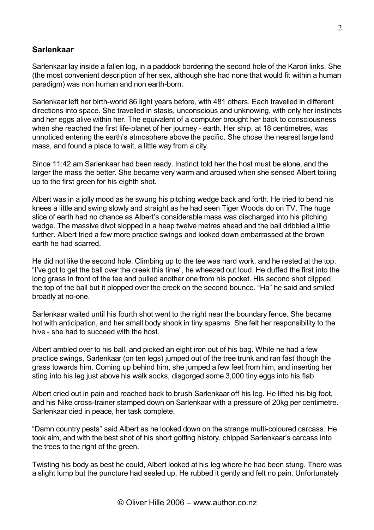## **Sarlenkaar**

Sarlenkaar lay inside a fallen log, in a paddock bordering the second hole of the Karori links. She (the most convenient description of her sex, although she had none that would fit within a human paradigm) was non human and non earth-born.

Sarlenkaar left her birth-world 86 light years before, with 481 others. Each travelled in different directions into space. She travelled in stasis, unconscious and unknowing, with only her instincts and her eggs alive within her. The equivalent of a computer brought her back to consciousness when she reached the first life-planet of her journey - earth. Her ship, at 18 centimetres, was unnoticed entering the earth's atmosphere above the pacific. She chose the nearest large land mass, and found a place to wait, a little way from a city.

Since 11:42 am Sarlenkaar had been ready. Instinct told her the host must be alone, and the larger the mass the better. She became very warm and aroused when she sensed Albert toiling up to the first green for his eighth shot.

Albert was in a jolly mood as he swung his pitching wedge back and forth. He tried to bend his knees a little and swing slowly and straight as he had seen Tiger Woods do on TV. The huge slice of earth had no chance as Albert's considerable mass was discharged into his pitching wedge. The massive divot slopped in a heap twelve metres ahead and the ball dribbled a little further. Albert tried a few more practice swings and looked down embarrassed at the brown earth he had scarred.

He did not like the second hole. Climbing up to the tee was hard work, and he rested at the top. "I've got to get the ball over the creek this time", he wheezed out loud. He duffed the first into the long grass in front of the tee and pulled another one from his pocket. His second shot clipped the top of the ball but it plopped over the creek on the second bounce. "Ha" he said and smiled broadly at no-one.

Sarlenkaar waited until his fourth shot went to the right near the boundary fence. She became hot with anticipation, and her small body shook in tiny spasms. She felt her responsibility to the hive - she had to succeed with the host.

Albert ambled over to his ball, and picked an eight iron out of his bag. While he had a few practice swings, Sarlenkaar (on ten legs) jumped out of the tree trunk and ran fast though the grass towards him. Coming up behind him, she jumped a few feet from him, and inserting her sting into his leg just above his walk socks, disgorged some 3,000 tiny eggs into his flab.

Albert cried out in pain and reached back to brush Sarlenkaar off his leg. He lifted his big foot, and his Nike cross-trainer stamped down on Sarlenkaar with a pressure of 20kg per centimetre. Sarlenkaar died in peace, her task complete.

"Damn country pests" said Albert as he looked down on the strange multi-coloured carcass. He took aim, and with the best shot of his short golfing history, chipped Sarlenkaar's carcass into the trees to the right of the green.

Twisting his body as best he could, Albert looked at his leg where he had been stung. There was a slight lump but the puncture had sealed up. He rubbed it gently and felt no pain. Unfortunately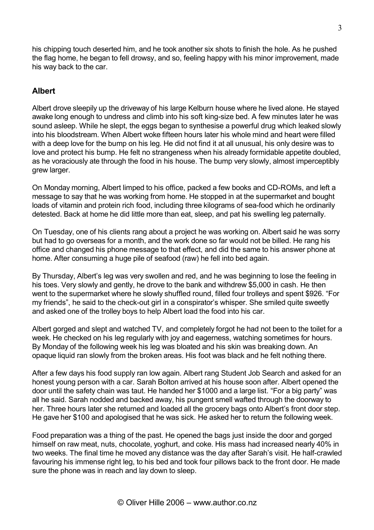his chipping touch deserted him, and he took another six shots to finish the hole. As he pushed the flag home, he began to fell drowsy, and so, feeling happy with his minor improvement, made his way back to the car.

## **Albert**

Albert drove sleepily up the driveway of his large Kelburn house where he lived alone. He stayed awake long enough to undress and climb into his soft king-size bed. A few minutes later he was sound asleep. While he slept, the eggs began to synthesise a powerful drug which leaked slowly into his bloodstream. When Albert woke fifteen hours later his whole mind and heart were filled with a deep love for the bump on his leg. He did not find it at all unusual, his only desire was to love and protect his bump. He felt no strangeness when his already formidable appetite doubled, as he voraciously ate through the food in his house. The bump very slowly, almost imperceptibly grew larger.

On Monday morning, Albert limped to his office, packed a few books and CD-ROMs, and left a message to say that he was working from home. He stopped in at the supermarket and bought loads of vitamin and protein rich food, including three kilograms of sea-food which he ordinarily detested. Back at home he did little more than eat, sleep, and pat his swelling leg paternally.

On Tuesday, one of his clients rang about a project he was working on. Albert said he was sorry but had to go overseas for a month, and the work done so far would not be billed. He rang his office and changed his phone message to that effect, and did the same to his answer phone at home. After consuming a huge pile of seafood (raw) he fell into bed again.

By Thursday, Albert's leg was very swollen and red, and he was beginning to lose the feeling in his toes. Very slowly and gently, he drove to the bank and withdrew \$5,000 in cash. He then went to the supermarket where he slowly shuffled round, filled four trolleys and spent \$926. "For my friends", he said to the check-out girl in a conspirator's whisper. She smiled quite sweetly and asked one of the trolley boys to help Albert load the food into his car.

Albert gorged and slept and watched TV, and completely forgot he had not been to the toilet for a week. He checked on his leg regularly with joy and eagerness, watching sometimes for hours. By Monday of the following week his leg was bloated and his skin was breaking down. An opaque liquid ran slowly from the broken areas. His foot was black and he felt nothing there.

After a few days his food supply ran low again. Albert rang Student Job Search and asked for an honest young person with a car. Sarah Bolton arrived at his house soon after. Albert opened the door until the safety chain was taut. He handed her \$1000 and a large list. "For a big party" was all he said. Sarah nodded and backed away, his pungent smell wafted through the doorway to her. Three hours later she returned and loaded all the grocery bags onto Albert's front door step. He gave her \$100 and apologised that he was sick. He asked her to return the following week.

Food preparation was a thing of the past. He opened the bags just inside the door and gorged himself on raw meat, nuts, chocolate, yoghurt, and coke. His mass had increased nearly 40% in two weeks. The final time he moved any distance was the day after Sarah's visit. He half-crawled favouring his immense right leg, to his bed and took four pillows back to the front door. He made sure the phone was in reach and lay down to sleep.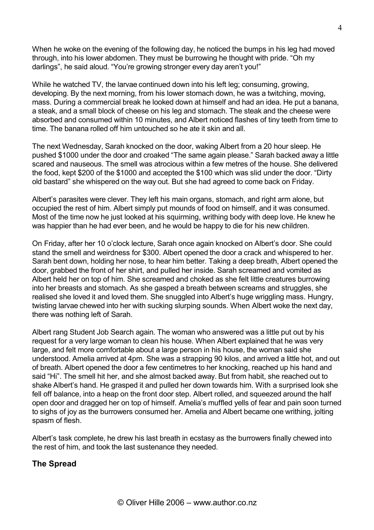When he woke on the evening of the following day, he noticed the bumps in his leg had moved through, into his lower abdomen. They must be burrowing he thought with pride. "Oh my darlings", he said aloud. "You're growing stronger every day aren't you!"

While he watched TV, the larvae continued down into his left leg; consuming, growing, developing. By the next morning, from his lower stomach down, he was a twitching, moving, mass. During a commercial break he looked down at himself and had an idea. He put a banana, a steak, and a small block of cheese on his leg and stomach. The steak and the cheese were absorbed and consumed within 10 minutes, and Albert noticed flashes of tiny teeth from time to time. The banana rolled off him untouched so he ate it skin and all.

The next Wednesday, Sarah knocked on the door, waking Albert from a 20 hour sleep. He pushed \$1000 under the door and croaked "The same again please." Sarah backed away a little scared and nauseous. The smell was atrocious within a few metres of the house. She delivered the food, kept \$200 of the \$1000 and accepted the \$100 which was slid under the door. "Dirty old bastard" she whispered on the way out. But she had agreed to come back on Friday.

Albert's parasites were clever. They left his main organs, stomach, and right arm alone, but occupied the rest of him. Albert simply put mounds of food on himself, and it was consumed. Most of the time now he just looked at his squirming, writhing body with deep love. He knew he was happier than he had ever been, and he would be happy to die for his new children.

On Friday, after her 10 o'clock lecture, Sarah once again knocked on Albert's door. She could stand the smell and weirdness for \$300. Albert opened the door a crack and whispered to her. Sarah bent down, holding her nose, to hear him better. Taking a deep breath, Albert opened the door, grabbed the front of her shirt, and pulled her inside. Sarah screamed and vomited as Albert held her on top of him. She screamed and choked as she felt little creatures burrowing into her breasts and stomach. As she gasped a breath between screams and struggles, she realised she loved it and loved them. She snuggled into Albert's huge wriggling mass. Hungry, twisting larvae chewed into her with sucking slurping sounds. When Albert woke the next day, there was nothing left of Sarah.

Albert rang Student Job Search again. The woman who answered was a little put out by his request for a very large woman to clean his house. When Albert explained that he was very large, and felt more comfortable about a large person in his house, the woman said she understood. Amelia arrived at 4pm. She was a strapping 90 kilos, and arrived a little hot, and out of breath. Albert opened the door a few centimetres to her knocking, reached up his hand and said "Hi". The smell hit her, and she almost backed away. But from habit, she reached out to shake Albert's hand. He grasped it and pulled her down towards him. With a surprised look she fell off balance, into a heap on the front door step. Albert rolled, and squeezed around the half open door and dragged her on top of himself. Amelia's muffled yells of fear and pain soon turned to sighs of joy as the burrowers consumed her. Amelia and Albert became one writhing, jolting spasm of flesh.

Albert's task complete, he drew his last breath in ecstasy as the burrowers finally chewed into the rest of him, and took the last sustenance they needed.

## **The Spread**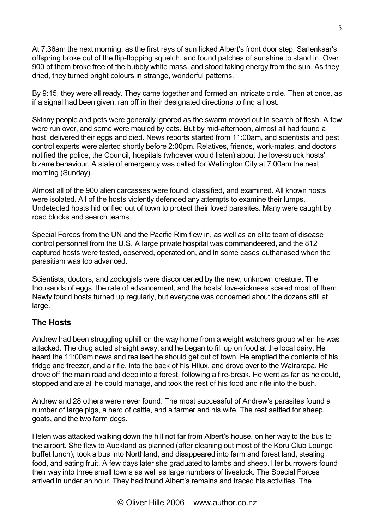At 7:36am the next morning, as the first rays of sun licked Albert's front door step, Sarlenkaar's offspring broke out of the flip-flopping squelch, and found patches of sunshine to stand in. Over 900 of them broke free of the bubbly white mass, and stood taking energy from the sun. As they dried, they turned bright colours in strange, wonderful patterns.

By 9:15, they were all ready. They came together and formed an intricate circle. Then at once, as if a signal had been given, ran off in their designated directions to find a host.

Skinny people and pets were generally ignored as the swarm moved out in search of flesh. A few were run over, and some were mauled by cats. But by mid-afternoon, almost all had found a host, delivered their eggs and died. News reports started from 11:00am, and scientists and pest control experts were alerted shortly before 2:00pm. Relatives, friends, work-mates, and doctors notified the police, the Council, hospitals (whoever would listen) about the love-struck hosts' bizarre behaviour. A state of emergency was called for Wellington City at 7:00am the next morning (Sunday).

Almost all of the 900 alien carcasses were found, classified, and examined. All known hosts were isolated. All of the hosts violently defended any attempts to examine their lumps. Undetected hosts hid or fled out of town to protect their loved parasites. Many were caught by road blocks and search teams.

Special Forces from the UN and the Pacific Rim flew in, as well as an elite team of disease control personnel from the U.S. A large private hospital was commandeered, and the 812 captured hosts were tested, observed, operated on, and in some cases euthanased when the parasitism was too advanced.

Scientists, doctors, and zoologists were disconcerted by the new, unknown creature. The thousands of eggs, the rate of advancement, and the hosts' love-sickness scared most of them. Newly found hosts turned up regularly, but everyone was concerned about the dozens still at large.

## **The Hosts**

Andrew had been struggling uphill on the way home from a weight watchers group when he was attacked. The drug acted straight away, and he began to fill up on food at the local dairy. He heard the 11:00am news and realised he should get out of town. He emptied the contents of his fridge and freezer, and a rifle, into the back of his Hilux, and drove over to the Wairarapa. He drove off the main road and deep into a forest, following a fire-break. He went as far as he could, stopped and ate all he could manage, and took the rest of his food and rifle into the bush.

Andrew and 28 others were never found. The most successful of Andrew's parasites found a number of large pigs, a herd of cattle, and a farmer and his wife. The rest settled for sheep, goats, and the two farm dogs.

Helen was attacked walking down the hill not far from Albert's house, on her way to the bus to the airport. She flew to Auckland as planned (after cleaning out most of the Koru Club Lounge buffet lunch), took a bus into Northland, and disappeared into farm and forest land, stealing food, and eating fruit. A few days later she graduated to lambs and sheep. Her burrowers found their way into three small towns as well as large numbers of livestock. The Special Forces arrived in under an hour. They had found Albert's remains and traced his activities. The